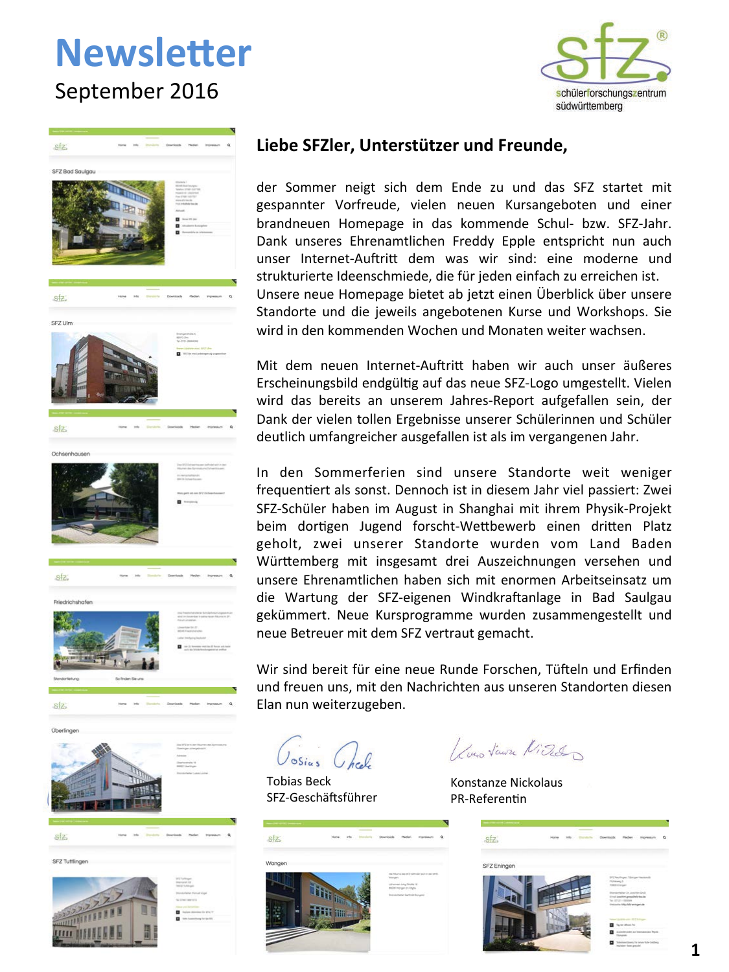### **Newsletter** September 2016





### Liebe SFZler, Unterstützer und Freunde,

der Sommer neigt sich dem Ende zu und das SFZ startet mit gespannter Vorfreude, vielen neuen Kursangeboten und einer brandneuen Homepage in das kommende Schul- bzw. SFZ-Jahr. Dank unseres Ehrenamtlichen Freddy Epple entspricht nun auch unser Internet-Auftritt dem was wir sind: eine moderne und strukturierte Ideenschmiede, die für jeden einfach zu erreichen ist. Unsere neue Homepage bietet ab jetzt einen Überblick über unsere Standorte und die jeweils angebotenen Kurse und Workshops. Sie wird in den kommenden Wochen und Monaten weiter wachsen.

Mit dem neuen Internet-Auftritt haben wir auch unser äußeres Erscheinungsbild endgültig auf das neue SFZ-Logo umgestellt. Vielen wird das bereits an unserem Jahres-Report aufgefallen sein, der Dank der vielen tollen Ergebnisse unserer Schülerinnen und Schüler deutlich umfangreicher ausgefallen ist als im vergangenen Jahr.

In den Sommerferien sind unsere Standorte weit weniger frequentiert als sonst. Dennoch ist in diesem Jahr viel passiert: Zwei SFZ-Schüler haben im August in Shanghai mit ihrem Physik-Projekt beim dortigen Jugend forscht-Wettbewerb einen dritten Platz geholt, zwei unserer Standorte wurden vom Land Baden Württemberg mit insgesamt drei Auszeichnungen versehen und unsere Ehrenamtlichen haben sich mit enormen Arbeitseinsatz um die Wartung der SFZ-eigenen Windkraftanlage in Bad Saulgau gekümmert. Neue Kursprogramme wurden zusammengestellt und neue Betreuer mit dem SFZ vertraut gemacht.

Wir sind bereit für eine neue Runde Forschen, Tüfteln und Erfinden und freuen uns, mit den Nachrichten aus unseren Standorten diesen Elan nun weiterzugeben.

 $\sigma$ Sins

**Tobias Beck** SFZ-Geschäftsführer



1 Long Vaura Video

Konstanze Nickolaus PR-Referentin

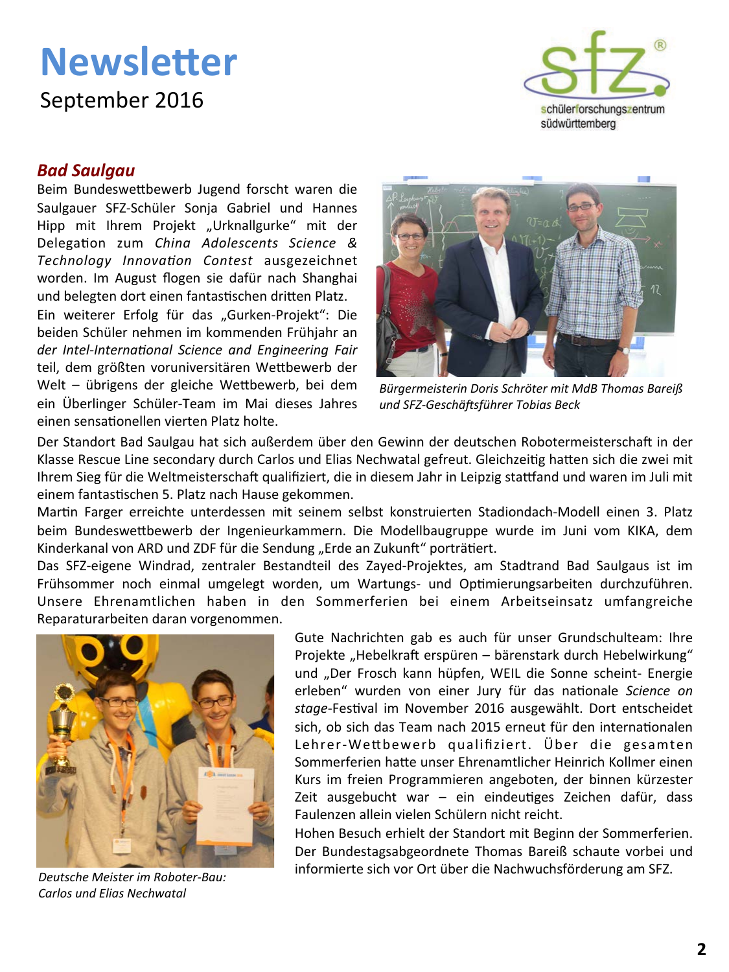September 2016



#### **Bad Saulgau**

Beim Bundeswettbewerb Jugend forscht waren die Saulgauer SFZ-Schüler Sonja Gabriel und Hannes Hipp mit Ihrem Projekt "Urknallgurke" mit der Delegation zum China Adolescents Science & Technology Innovation Contest ausgezeichnet worden. Im August flogen sie dafür nach Shanghai und belegten dort einen fantastischen dritten Platz.

Ein weiterer Erfolg für das "Gurken-Projekt": Die beiden Schüler nehmen im kommenden Frühjahr an der Intel-International Science and Engineering Fair teil, dem größten voruniversitären Wettbewerb der Welt - übrigens der gleiche Wettbewerb, bei dem ein Überlinger Schüler-Team im Mai dieses Jahres einen sensationellen vierten Platz holte.



Bürgermeisterin Doris Schröter mit MdB Thomas Bareiß und SFZ-Geschäftsführer Tobias Beck

Der Standort Bad Saulgau hat sich außerdem über den Gewinn der deutschen Robotermeisterschaft in der Klasse Rescue Line secondary durch Carlos und Elias Nechwatal gefreut. Gleichzeitig hatten sich die zwei mit Ihrem Sieg für die Weltmeisterschaft qualifiziert, die in diesem Jahr in Leipzig stattfand und waren im Juli mit einem fantastischen 5. Platz nach Hause gekommen.

Martin Farger erreichte unterdessen mit seinem selbst konstruierten Stadiondach-Modell einen 3. Platz beim Bundeswettbewerb der Ingenieurkammern. Die Modellbaugruppe wurde im Juni vom KIKA, dem Kinderkanal von ARD und ZDF für die Sendung "Erde an Zukunft" porträtiert.

Das SFZ-eigene Windrad, zentraler Bestandteil des Zayed-Projektes, am Stadtrand Bad Saulgaus ist im Frühsommer noch einmal umgelegt worden, um Wartungs- und Optimierungsarbeiten durchzuführen. Unsere Ehrenamtlichen haben in den Sommerferien bei einem Arbeitseinsatz umfangreiche Reparaturarbeiten daran vorgenommen.



Deutsche Meister im Roboter-Bau: Carlos und Elias Nechwatal

Gute Nachrichten gab es auch für unser Grundschulteam: Ihre Projekte "Hebelkraft erspüren - bärenstark durch Hebelwirkung" und "Der Frosch kann hüpfen, WEIL die Sonne scheint- Energie erleben" wurden von einer Jury für das nationale Science on stage-Festival im November 2016 ausgewählt. Dort entscheidet sich, ob sich das Team nach 2015 erneut für den internationalen Lehrer-Wettbewerb qualifiziert. Über die gesamten Sommerferien hatte unser Ehrenamtlicher Heinrich Kollmer einen Kurs im freien Programmieren angeboten, der binnen kürzester Zeit ausgebucht war - ein eindeutiges Zeichen dafür, dass Faulenzen allein vielen Schülern nicht reicht.

Hohen Besuch erhielt der Standort mit Beginn der Sommerferien. Der Bundestagsabgeordnete Thomas Bareiß schaute vorbei und informierte sich vor Ort über die Nachwuchsförderung am SFZ.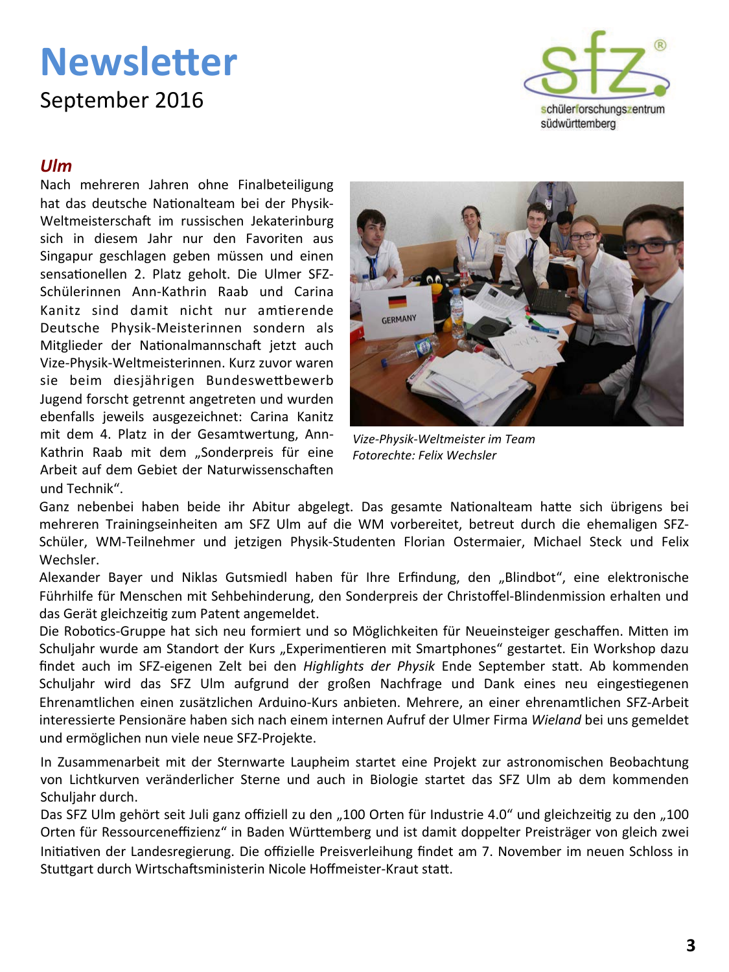September 2016



### $I$ *IIm*

Nach mehreren Jahren ohne Finalbeteiligung hat das deutsche Nationalteam bei der Physik-Weltmeisterschaft im russischen Jekaterinburg sich in diesem Jahr nur den Favoriten aus Singapur geschlagen geben müssen und einen sensationellen 2. Platz geholt. Die Ulmer SFZ-Schülerinnen Ann-Kathrin Raab und Carina Kanitz sind damit nicht nur amtierende Deutsche Physik-Meisterinnen sondern als Mitglieder der Nationalmannschaft jetzt auch Vize-Physik-Weltmeisterinnen. Kurz zuvor waren sie beim diesjährigen Bundeswettbewerb Jugend forscht getrennt angetreten und wurden ebenfalls jeweils ausgezeichnet: Carina Kanitz mit dem 4. Platz in der Gesamtwertung, Ann-Kathrin Raab mit dem "Sonderpreis für eine Arbeit auf dem Gebiet der Naturwissenschaften und Technik".



Vize-Physik-Weltmeister im Team Fotorechte: Felix Wechsler

Ganz nebenbei haben beide ihr Abitur abgelegt. Das gesamte Nationalteam hatte sich übrigens bei mehreren Trainingseinheiten am SFZ Ulm auf die WM vorbereitet, betreut durch die ehemaligen SFZ-Schüler, WM-Teilnehmer und jetzigen Physik-Studenten Florian Ostermaier, Michael Steck und Felix Wechsler.

Alexander Bayer und Niklas Gutsmiedl haben für Ihre Erfindung, den "Blindbot", eine elektronische Führhilfe für Menschen mit Sehbehinderung, den Sonderpreis der Christoffel-Blindenmission erhalten und das Gerät gleichzeitig zum Patent angemeldet.

Die Robotics-Gruppe hat sich neu formiert und so Möglichkeiten für Neueinsteiger geschaffen. Mitten im Schuljahr wurde am Standort der Kurs "Experimentieren mit Smartphones" gestartet. Ein Workshop dazu findet auch im SFZ-eigenen Zelt bei den Highlights der Physik Ende September statt. Ab kommenden Schuljahr wird das SFZ Ulm aufgrund der großen Nachfrage und Dank eines neu eingestiegenen Ehrenamtlichen einen zusätzlichen Arduino-Kurs anbieten. Mehrere, an einer ehrenamtlichen SFZ-Arbeit interessierte Pensionäre haben sich nach einem internen Aufruf der Ulmer Firma Wieland bei uns gemeldet und ermöglichen nun viele neue SFZ-Projekte.

In Zusammenarbeit mit der Sternwarte Laupheim startet eine Projekt zur astronomischen Beobachtung von Lichtkurven veränderlicher Sterne und auch in Biologie startet das SFZ Ulm ab dem kommenden Schuliahr durch.

Das SFZ Ulm gehört seit Juli ganz offiziell zu den "100 Orten für Industrie 4.0" und gleichzeitig zu den "100 Orten für Ressourceneffizienz" in Baden Württemberg und ist damit doppelter Preisträger von gleich zwei Initiativen der Landesregierung. Die offizielle Preisverleihung findet am 7. November im neuen Schloss in Stuttgart durch Wirtschaftsministerin Nicole Hoffmeister-Kraut statt.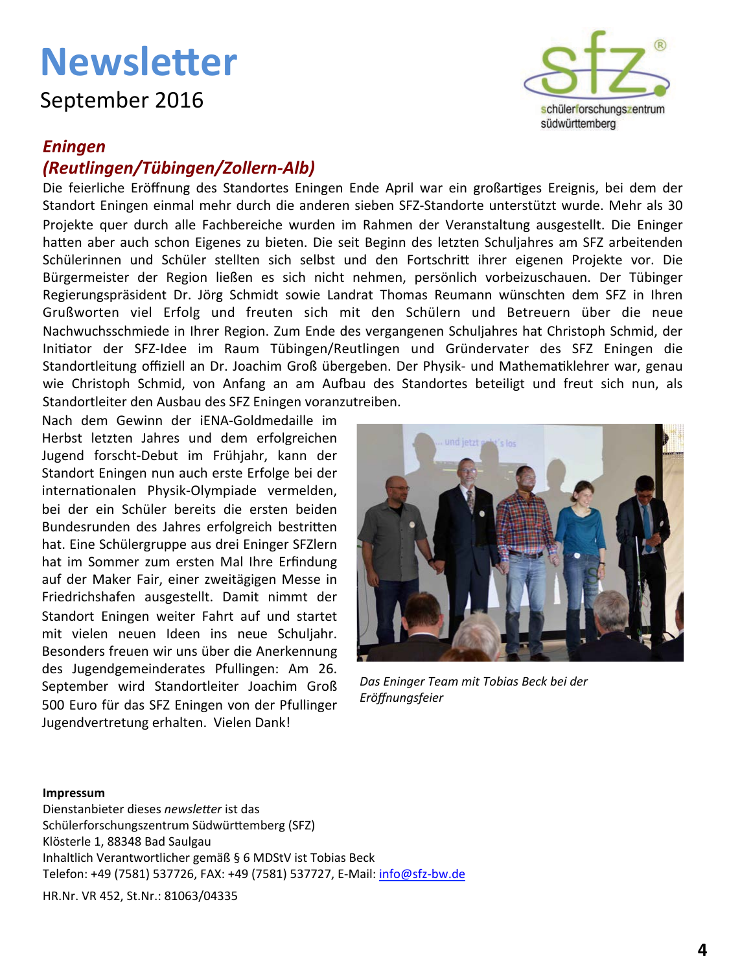September 2016

### **Eningen**

### (Reutlingen/Tübingen/Zollern-Alb)

Die feierliche Eröffnung des Standortes Eningen Ende April war ein großartiges Ereignis, bei dem der Standort Eningen einmal mehr durch die anderen sieben SFZ-Standorte unterstützt wurde. Mehr als 30 Projekte quer durch alle Fachbereiche wurden im Rahmen der Veranstaltung ausgestellt. Die Eninger hatten aber auch schon Eigenes zu bieten. Die seit Beginn des letzten Schuljahres am SFZ arbeitenden Schülerinnen und Schüler stellten sich selbst und den Fortschritt ihrer eigenen Projekte vor. Die Bürgermeister der Region ließen es sich nicht nehmen, persönlich vorbeizuschauen. Der Tübinger Regierungspräsident Dr. Jörg Schmidt sowie Landrat Thomas Reumann wünschten dem SFZ in Ihren Grußworten viel Erfolg und freuten sich mit den Schülern und Betreuern über die neue Nachwuchsschmiede in Ihrer Region. Zum Ende des vergangenen Schuljahres hat Christoph Schmid, der Initiator der SFZ-Idee im Raum Tübingen/Reutlingen und Gründervater des SFZ Eningen die Standortleitung offiziell an Dr. Joachim Groß übergeben. Der Physik- und Mathematiklehrer war, genau wie Christoph Schmid, von Anfang an am Aufbau des Standortes beteiligt und freut sich nun, als Standortleiter den Ausbau des SFZ Eningen voranzutreiben.

Nach dem Gewinn der iENA-Goldmedaille im Herbst letzten Jahres und dem erfolgreichen Jugend forscht-Debut im Frühjahr, kann der Standort Eningen nun auch erste Erfolge bei der internationalen Physik-Olympiade vermelden, bei der ein Schüler bereits die ersten beiden Bundesrunden des Jahres erfolgreich bestritten hat. Eine Schülergruppe aus drei Eninger SFZlern hat im Sommer zum ersten Mal Ihre Erfindung auf der Maker Fair, einer zweitägigen Messe in Friedrichshafen ausgestellt. Damit nimmt der Standort Eningen weiter Fahrt auf und startet mit vielen neuen Ideen ins neue Schuljahr. Besonders freuen wir uns über die Anerkennung des Jugendgemeinderates Pfullingen: Am 26. September wird Standortleiter Joachim Groß 500 Euro für das SFZ Eningen von der Pfullinger Jugendvertretung erhalten. Vielen Dank!



Das Eninger Team mit Tobias Beck bei der Eröffnungsfeier

#### Impressum

Dienstanbieter dieses newsletter ist das Schülerforschungszentrum Südwürttemberg (SFZ) Klösterle 1, 88348 Bad Saulgau Inhaltlich Verantwortlicher gemäß § 6 MDStV ist Tobias Beck Telefon: +49 (7581) 537726, FAX: +49 (7581) 537727, E-Mail: info@sfz-bw.de HR.Nr. VR 452, St.Nr.: 81063/04335

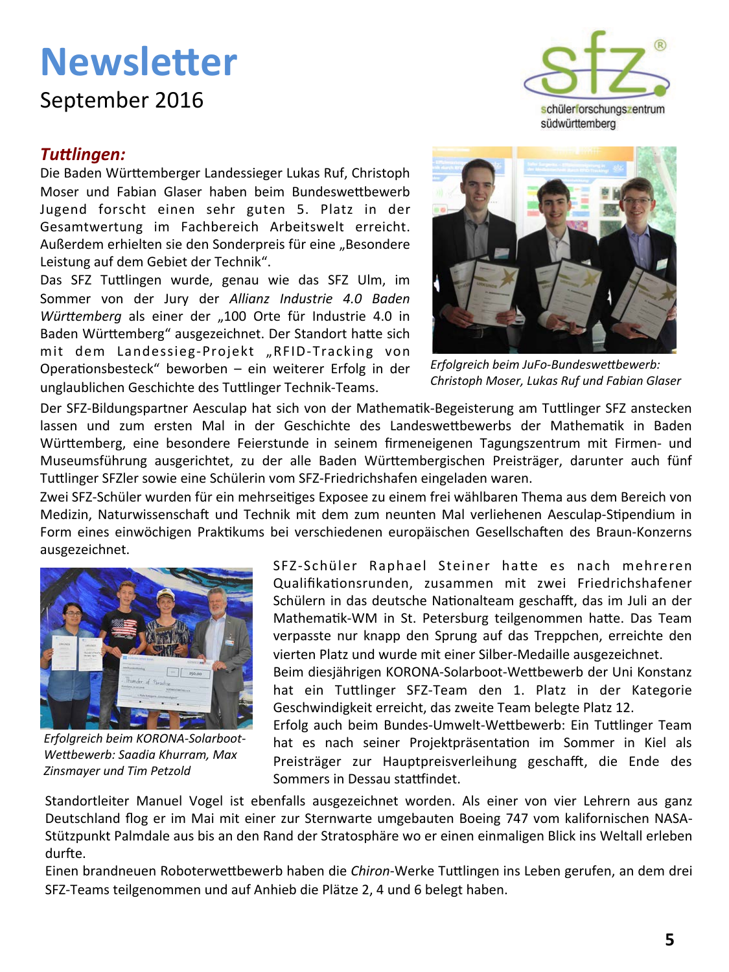### September 2016

### **Tuttlingen:**

Die Baden Württemberger Landessieger Lukas Ruf, Christoph Moser und Fabian Glaser haben beim Bundeswettbewerb Jugend forscht einen sehr guten 5. Platz in der Gesamtwertung im Fachbereich Arbeitswelt erreicht. Außerdem erhielten sie den Sonderpreis für eine "Besondere Leistung auf dem Gebiet der Technik".

Das SFZ Tuttlingen wurde, genau wie das SFZ Ulm, im Sommer von der Jury der Allianz Industrie 4.0 Baden Württemberg als einer der "100 Orte für Industrie 4.0 in Baden Württemberg" ausgezeichnet. Der Standort hatte sich mit dem Landessieg-Projekt "RFID-Tracking von Operationsbesteck" beworben - ein weiterer Erfolg in der unglaublichen Geschichte des Tuttlinger Technik-Teams.





Erfolgreich beim JuFo-Bundeswettbewerb: Christoph Moser, Lukas Ruf und Fabian Glaser

Der SFZ-Bildungspartner Aesculap hat sich von der Mathematik-Begeisterung am Tuttlinger SFZ anstecken lassen und zum ersten Mal in der Geschichte des Landeswettbewerbs der Mathematik in Baden Württemberg, eine besondere Feierstunde in seinem firmeneigenen Tagungszentrum mit Firmen- und Museumsführung ausgerichtet, zu der alle Baden Württembergischen Preisträger, darunter auch fünf Tuttlinger SFZIer sowie eine Schülerin vom SFZ-Friedrichshafen eingeladen waren.

Zwei SFZ-Schüler wurden für ein mehrseitiges Exposee zu einem frei wählbaren Thema aus dem Bereich von Medizin, Naturwissenschaft und Technik mit dem zum neunten Mal verliehenen Aesculap-Stipendium in Form eines einwöchigen Praktikums bei verschiedenen europäischen Gesellschaften des Braun-Konzerns ausgezeichnet.



Erfolgreich beim KORONA-Solarboot-Wettbewerb: Saadia Khurram, Max Zinsmayer und Tim Petzold

SFZ-Schüler Raphael Steiner hatte es nach mehreren Qualifikationsrunden, zusammen mit zwei Friedrichshafener Schülern in das deutsche Nationalteam geschafft, das im Juli an der Mathematik-WM in St. Petersburg teilgenommen hatte. Das Team verpasste nur knapp den Sprung auf das Treppchen, erreichte den vierten Platz und wurde mit einer Silber-Medaille ausgezeichnet.

Beim diesjährigen KORONA-Solarboot-Wettbewerb der Uni Konstanz hat ein Tuttlinger SFZ-Team den 1. Platz in der Kategorie Geschwindigkeit erreicht, das zweite Team belegte Platz 12.

Erfolg auch beim Bundes-Umwelt-Wettbewerb: Ein Tuttlinger Team hat es nach seiner Projektpräsentation im Sommer in Kiel als Preisträger zur Hauptpreisverleihung geschafft, die Ende des Sommers in Dessau stattfindet.

Standortleiter Manuel Vogel ist ebenfalls ausgezeichnet worden. Als einer von vier Lehrern aus ganz Deutschland flog er im Mai mit einer zur Sternwarte umgebauten Boeing 747 vom kalifornischen NASA-Stützpunkt Palmdale aus bis an den Rand der Stratosphäre wo er einen einmaligen Blick ins Weltall erleben durfte.

Einen brandneuen Roboterwettbewerb haben die Chiron-Werke Tuttlingen ins Leben gerufen, an dem drei SFZ-Teams teilgenommen und auf Anhieb die Plätze 2, 4 und 6 belegt haben.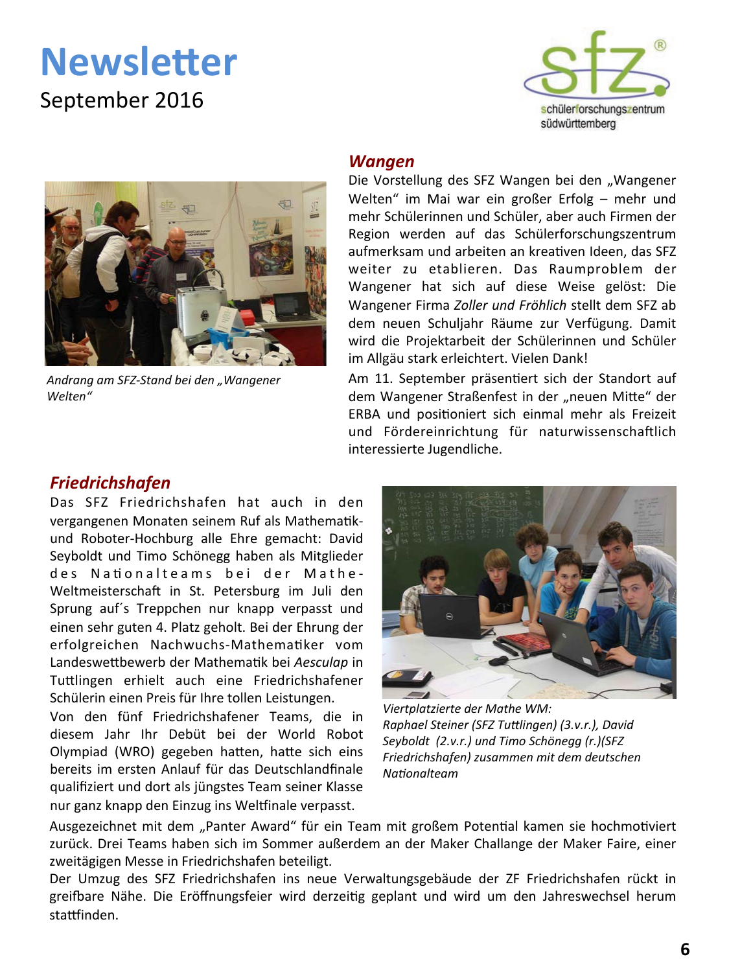September 2016





Andrang am SFZ-Stand bei den "Wangener Welten"

#### Wangen

Die Vorstellung des SFZ Wangen bei den "Wangener Welten" im Mai war ein großer Erfolg - mehr und mehr Schülerinnen und Schüler, aber auch Firmen der Region werden auf das Schülerforschungszentrum aufmerksam und arbeiten an kreativen Ideen, das SFZ weiter zu etablieren. Das Raumproblem der Wangener hat sich auf diese Weise gelöst: Die Wangener Firma Zoller und Fröhlich stellt dem SFZ ab dem neuen Schuliahr Räume zur Verfügung. Damit wird die Projektarbeit der Schülerinnen und Schüler im Allgäu stark erleichtert. Vielen Dank!

Am 11. September präsentiert sich der Standort auf dem Wangener Straßenfest in der "neuen Mitte" der ERBA und positioniert sich einmal mehr als Freizeit und Fördereinrichtung für naturwissenschaftlich interessierte Jugendliche.

#### **Friedrichshafen**

Das SFZ Friedrichshafen hat auch in den vergangenen Monaten seinem Ruf als Mathematikund Roboter-Hochburg alle Ehre gemacht: David Seyboldt und Timo Schönegg haben als Mitglieder des Nationalteams bei der Mathe-Weltmeisterschaft in St. Petersburg im Juli den Sprung auf's Treppchen nur knapp verpasst und einen sehr guten 4. Platz geholt. Bei der Ehrung der erfolgreichen Nachwuchs-Mathematiker vom Landeswettbewerb der Mathematik bei Aesculap in Tuttlingen erhielt auch eine Friedrichshafener Schülerin einen Preis für Ihre tollen Leistungen.

Von den fünf Friedrichshafener Teams, die in diesem Jahr Ihr Debüt bei der World Robot Olympiad (WRO) gegeben hatten, hatte sich eins bereits im ersten Anlauf für das Deutschlandfinale qualifiziert und dort als jüngstes Team seiner Klasse nur ganz knapp den Einzug ins Weltfinale verpasst.



Viertplatzierte der Mathe WM: Raphael Steiner (SFZ Tuttlingen) (3.v.r.), David Seyboldt (2.v.r.) und Timo Schönegg (r.)(SFZ Friedrichshafen) zusammen mit dem deutschen Nationalteam

Ausgezeichnet mit dem "Panter Award" für ein Team mit großem Potential kamen sie hochmotiviert zurück. Drei Teams haben sich im Sommer außerdem an der Maker Challange der Maker Faire, einer zweitägigen Messe in Friedrichshafen beteiligt.

Der Umzug des SFZ Friedrichshafen ins neue Verwaltungsgebäude der ZF Friedrichshafen rückt in greifbare Nähe. Die Eröffnungsfeier wird derzeitig geplant und wird um den Jahreswechsel herum stattfinden.